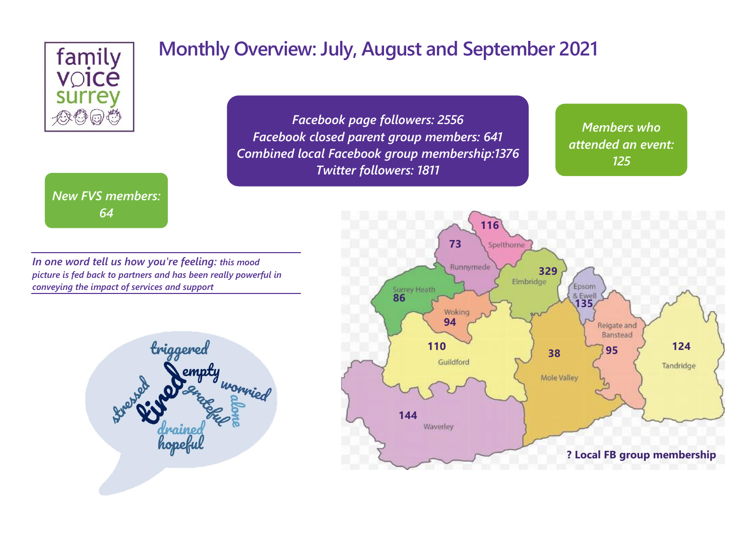

*New FVS members: 64*

### **Monthly Overview: July, August and September 2021**

*Facebook page followers: 2556 Facebook closed parent group members: 641 Combined local Facebook group membership:1376 Twitter followers: 1811*

*Members who attended an event: 125*

*49*

*In one word tell us how you're feeling: this mood picture is fed back to partners and has been really powerful in conveying the impact of services and support*



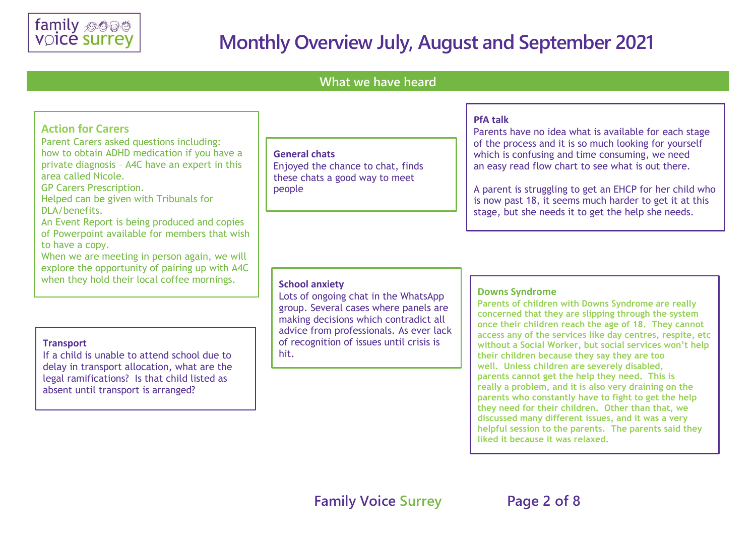

#### **What we have heard**

#### **General chats** Enjoyed the chance to chat, finds these chats a good way to meet people **Action for Carers** Parent Carers asked questions including: how to obtain ADHD medication if you have a private diagnosis – A4C have an expert in this area called Nicole. GP Carers Prescription. Helped can be given with Tribunals for DLA/benefits. An Event Report is being produced and copies of Powerpoint available for members that wish to have a copy. When we are meeting in person again, we will explore the opportunity of pairing up with A4C when they hold their local coffee mornings. **School anxiety**

#### **Transport**

If a child is unable to attend school due to delay in transport allocation, what are the legal ramifications? Is that child listed as absent until transport is arranged?

#### **PfA talk**

Parents have no idea what is available for each stage of the process and it is so much looking for yourself which is confusing and time consuming, we need an easy read flow chart to see what is out there.

A parent is struggling to get an EHCP for her child who is now past 18, it seems much harder to get it at this stage, but she needs it to get the help she needs.

Lots of ongoing chat in the WhatsApp group. Several cases where panels are making decisions which contradict all advice from professionals. As ever lack of recognition of issues until crisis is hit.

#### **Downs Syndrome**

**Parents of children with Downs Syndrome are really concerned that they are slipping through the system once their children reach the age of 18. They cannot access any of the services like day centres, respite, etc without a Social Worker, but social services won't help their children because they say they are too well. Unless children are severely disabled, parents cannot get the help they need. This is really a problem, and it is also very draining on the parents who constantly have to fight to get the help they need for their children. Other than that, we discussed many different issues, and it was a very helpful session to the parents. The parents said they liked it because it was relaxed.**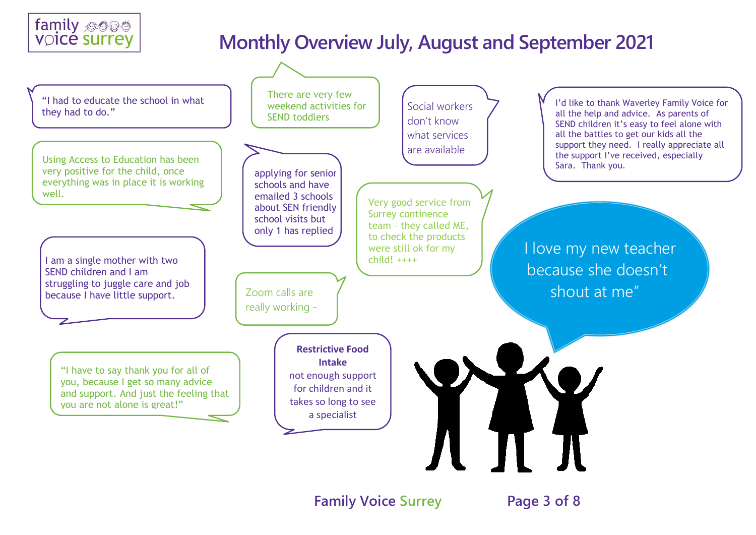



**Family Voice Surrey Page 3 of 8**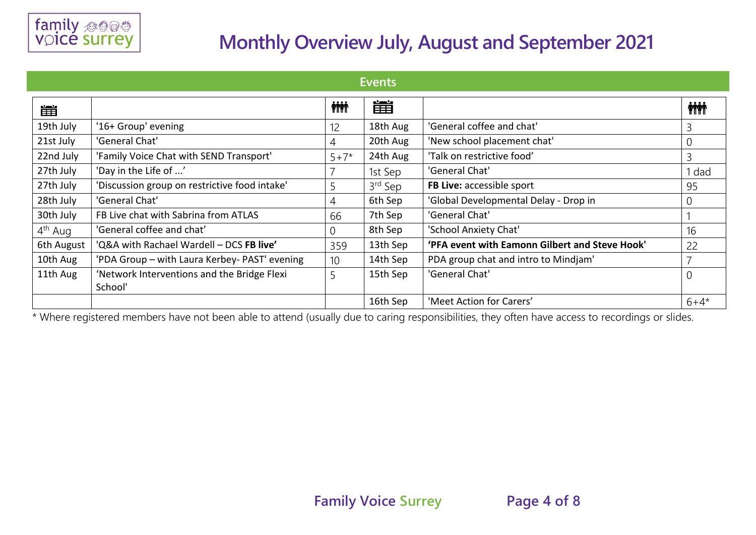

| Events              |                                                        |              |                     |                                                |                |  |  |
|---------------------|--------------------------------------------------------|--------------|---------------------|------------------------------------------------|----------------|--|--|
| 凿                   |                                                        | <b>inini</b> | 當                   |                                                | <b>iii</b>     |  |  |
| 19th July           | '16+ Group' evening                                    | 12           | 18th Aug            | 'General coffee and chat'                      | 3              |  |  |
| 21st July           | 'General Chat'                                         | 4            | 20th Aug            | 'New school placement chat'                    | 0              |  |  |
| 22nd July           | 'Family Voice Chat with SEND Transport'                | $5 + 7*$     | 24th Aug            | 'Talk on restrictive food'                     | 3              |  |  |
| 27th July           | 'Day in the Life of '                                  |              | 1st Sep             | 'General Chat'                                 | dad            |  |  |
| 27th July           | 'Discussion group on restrictive food intake'          | 5            | 3 <sup>rd</sup> Sep | FB Live: accessible sport                      | 95             |  |  |
| 28th July           | 'General Chat'                                         | 4            | 6th Sep             | 'Global Developmental Delay - Drop in          | 0              |  |  |
| 30th July           | FB Live chat with Sabrina from ATLAS                   | 66           | 7th Sep             | 'General Chat'                                 |                |  |  |
| 4 <sup>th</sup> Aug | 'General coffee and chat'                              | 0            | 8th Sep             | 'School Anxiety Chat'                          | 16             |  |  |
| 6th August          | 'Q&A with Rachael Wardell - DCS FB live'               | 359          | 13th Sep            | 'PFA event with Eamonn Gilbert and Steve Hook' | 22             |  |  |
| 10th Aug            | 'PDA Group - with Laura Kerbey- PAST' evening          | 10           | 14th Sep            | PDA group chat and intro to Mindjam'           |                |  |  |
| 11th Aug            | 'Network Interventions and the Bridge Flexi<br>School' | 5            | 15th Sep            | 'General Chat'                                 | $\overline{0}$ |  |  |
|                     |                                                        |              | 16th Sep            | 'Meet Action for Carers'                       | $6 + 4*$       |  |  |

\* Where registered members have not been able to attend (usually due to caring responsibilities, they often have access to recordings or slides.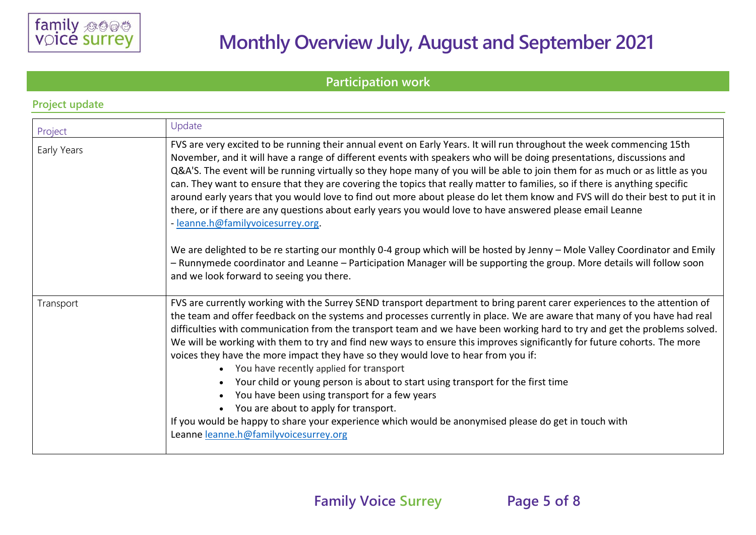

#### **Participation work**

| Project     | Update                                                                                                                                                                                                                                                                                                                                                                                                                                                                                                                                                                                                                                                                                                                                                                                                                                                                                                                                                                                                               |
|-------------|----------------------------------------------------------------------------------------------------------------------------------------------------------------------------------------------------------------------------------------------------------------------------------------------------------------------------------------------------------------------------------------------------------------------------------------------------------------------------------------------------------------------------------------------------------------------------------------------------------------------------------------------------------------------------------------------------------------------------------------------------------------------------------------------------------------------------------------------------------------------------------------------------------------------------------------------------------------------------------------------------------------------|
| Early Years | FVS are very excited to be running their annual event on Early Years. It will run throughout the week commencing 15th<br>November, and it will have a range of different events with speakers who will be doing presentations, discussions and<br>Q&A'S. The event will be running virtually so they hope many of you will be able to join them for as much or as little as you<br>can. They want to ensure that they are covering the topics that really matter to families, so if there is anything specific<br>around early years that you would love to find out more about please do let them know and FVS will do their best to put it in<br>there, or if there are any questions about early years you would love to have answered please email Leanne<br>- leanne.h@familyvoicesurrey.org.                                                                                                                                                                                                                   |
|             | We are delighted to be re starting our monthly 0-4 group which will be hosted by Jenny - Mole Valley Coordinator and Emily<br>- Runnymede coordinator and Leanne - Participation Manager will be supporting the group. More details will follow soon<br>and we look forward to seeing you there.                                                                                                                                                                                                                                                                                                                                                                                                                                                                                                                                                                                                                                                                                                                     |
| Transport   | FVS are currently working with the Surrey SEND transport department to bring parent carer experiences to the attention of<br>the team and offer feedback on the systems and processes currently in place. We are aware that many of you have had real<br>difficulties with communication from the transport team and we have been working hard to try and get the problems solved.<br>We will be working with them to try and find new ways to ensure this improves significantly for future cohorts. The more<br>voices they have the more impact they have so they would love to hear from you if:<br>You have recently applied for transport<br>$\bullet$<br>Your child or young person is about to start using transport for the first time<br>$\bullet$<br>You have been using transport for a few years<br>$\bullet$<br>You are about to apply for transport.<br>If you would be happy to share your experience which would be anonymised please do get in touch with<br>Leanne leanne.h@familyvoicesurrey.org |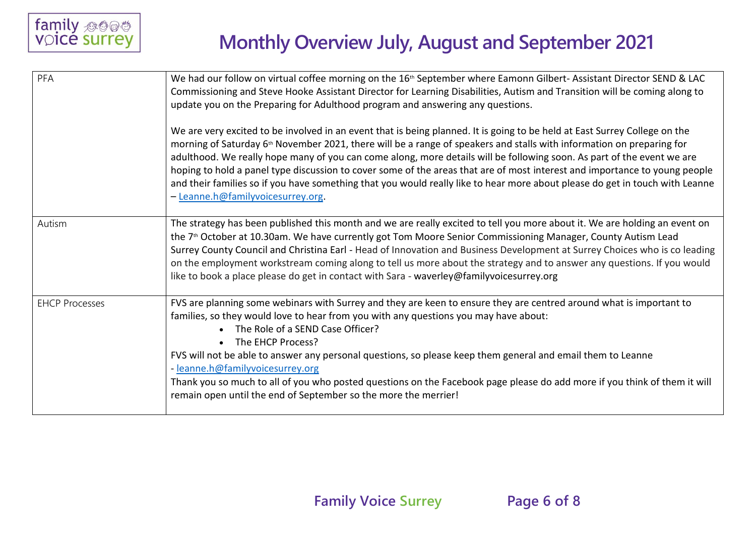| PFA                   | We had our follow on virtual coffee morning on the 16 <sup>th</sup> September where Eamonn Gilbert-Assistant Director SEND & LAC<br>Commissioning and Steve Hooke Assistant Director for Learning Disabilities, Autism and Transition will be coming along to<br>update you on the Preparing for Adulthood program and answering any questions.                                                                                                                                                                                                                                                                                                                                              |  |  |  |  |
|-----------------------|----------------------------------------------------------------------------------------------------------------------------------------------------------------------------------------------------------------------------------------------------------------------------------------------------------------------------------------------------------------------------------------------------------------------------------------------------------------------------------------------------------------------------------------------------------------------------------------------------------------------------------------------------------------------------------------------|--|--|--|--|
|                       | We are very excited to be involved in an event that is being planned. It is going to be held at East Surrey College on the<br>morning of Saturday 6 <sup>th</sup> November 2021, there will be a range of speakers and stalls with information on preparing for<br>adulthood. We really hope many of you can come along, more details will be following soon. As part of the event we are<br>hoping to hold a panel type discussion to cover some of the areas that are of most interest and importance to young people<br>and their families so if you have something that you would really like to hear more about please do get in touch with Leanne<br>- Leanne.h@familyvoicesurrey.org. |  |  |  |  |
| Autism                | The strategy has been published this month and we are really excited to tell you more about it. We are holding an event on<br>the 7 <sup>th</sup> October at 10.30am. We have currently got Tom Moore Senior Commissioning Manager, County Autism Lead<br>Surrey County Council and Christina Earl - Head of Innovation and Business Development at Surrey Choices who is co leading<br>on the employment workstream coming along to tell us more about the strategy and to answer any questions. If you would<br>like to book a place please do get in contact with Sara - waverley@familyvoicesurrey.org                                                                                   |  |  |  |  |
| <b>EHCP Processes</b> | FVS are planning some webinars with Surrey and they are keen to ensure they are centred around what is important to<br>families, so they would love to hear from you with any questions you may have about:<br>• The Role of a SEND Case Officer?<br>• The EHCP Process?<br>FVS will not be able to answer any personal questions, so please keep them general and email them to Leanne<br>- leanne.h@familyvoicesurrey.org<br>Thank you so much to all of you who posted questions on the Facebook page please do add more if you think of them it will<br>remain open until the end of September so the more the merrier!                                                                  |  |  |  |  |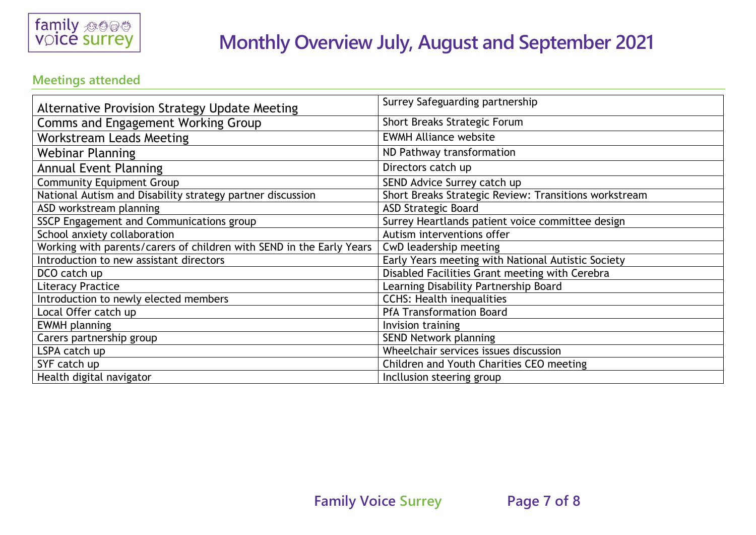

#### **Meetings attended**

| <b>Alternative Provision Strategy Update Meeting</b>                 | Surrey Safeguarding partnership                       |  |
|----------------------------------------------------------------------|-------------------------------------------------------|--|
| Comms and Engagement Working Group                                   | Short Breaks Strategic Forum                          |  |
| <b>Workstream Leads Meeting</b>                                      | <b>EWMH Alliance website</b>                          |  |
| <b>Webinar Planning</b>                                              | ND Pathway transformation                             |  |
| <b>Annual Event Planning</b>                                         | Directors catch up                                    |  |
| <b>Community Equipment Group</b>                                     | SEND Advice Surrey catch up                           |  |
| National Autism and Disability strategy partner discussion           | Short Breaks Strategic Review: Transitions workstream |  |
| ASD workstream planning                                              | <b>ASD Strategic Board</b>                            |  |
| SSCP Engagement and Communications group                             | Surrey Heartlands patient voice committee design      |  |
| School anxiety collaboration                                         | Autism interventions offer                            |  |
| Working with parents/carers of children with SEND in the Early Years | CwD leadership meeting                                |  |
| Introduction to new assistant directors                              | Early Years meeting with National Autistic Society    |  |
| DCO catch up                                                         | Disabled Facilities Grant meeting with Cerebra        |  |
| <b>Literacy Practice</b>                                             | Learning Disability Partnership Board                 |  |
| Introduction to newly elected members                                | <b>CCHS: Health inequalities</b>                      |  |
| Local Offer catch up                                                 | <b>PfA Transformation Board</b>                       |  |
| <b>EWMH</b> planning                                                 | Invision training                                     |  |
| Carers partnership group                                             | SEND Network planning                                 |  |
| LSPA catch up                                                        | Wheelchair services issues discussion                 |  |
| SYF catch up                                                         | Children and Youth Charities CEO meeting              |  |
| Health digital navigator                                             | Incllusion steering group                             |  |